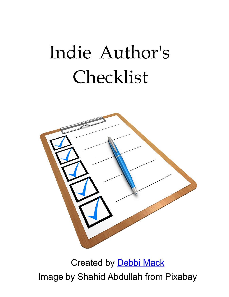## Indie Author's Checklist



## Created by [Debbi Mack](https://www.debbimack.com/) Image by Shahid [Abdullah](https://pixabay.com/users/472301-472301/?utm_source=link-attribution&utm_medium=referral&utm_campaign=image&utm_content=1622517) from [Pixabay](https://pixabay.com/?utm_source=link-attribution&utm_medium=referral&utm_campaign=image&utm_content=1622517)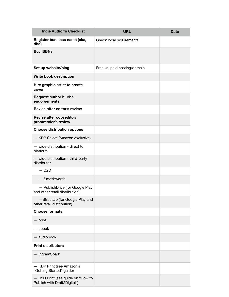| <b>Indie Author's Checklist</b>                                   | <b>URL</b>                   | <b>Date</b> |
|-------------------------------------------------------------------|------------------------------|-------------|
| Register business name (aka,<br>dba)                              | Check local requirements     |             |
| <b>Buy ISBNs</b>                                                  |                              |             |
| Set up website/blog                                               | Free vs. paid hosting/domain |             |
| Write book description                                            |                              |             |
| Hire graphic artist to create<br>cover                            |                              |             |
| <b>Request author blurbs,</b><br>endorsements                     |                              |             |
| Revise after editor's review                                      |                              |             |
| Revise after copyeditor/<br>proofreader's review                  |                              |             |
| <b>Choose distribution options</b>                                |                              |             |
| - KDP Select (Amazon exclusive)                                   |                              |             |
| - wide distribution - direct to<br>platform                       |                              |             |
| - wide distribution - third-party<br>distributor                  |                              |             |
| $-$ D <sub>2</sub> D                                              |                              |             |
| - Smashwords                                                      |                              |             |
| - PublishDrive (for Google Play<br>and other retail distribution) |                              |             |
| -StreetLib (for Google Play and<br>other retail distribution)     |                              |             |
| <b>Choose formats</b>                                             |                              |             |
| $-$ print                                                         |                              |             |
| $-$ ebook                                                         |                              |             |
| - audiobook                                                       |                              |             |
| <b>Print distributors</b>                                         |                              |             |
| - IngramSpark                                                     |                              |             |
| - KDP Print (see Amazon's<br>"Getting Started" guide)             |                              |             |
| - D2D Print (see guide on "How to<br>Publish with Draft2Digital") |                              |             |